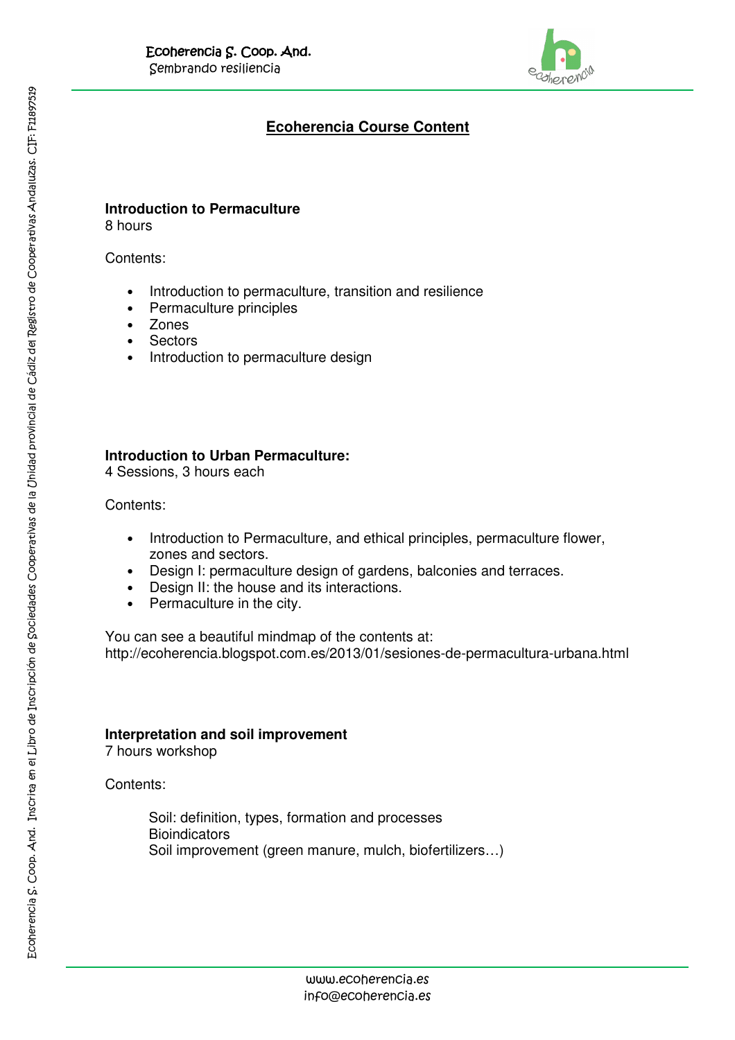

# **Ecoherencia Course Content**

# **Introduction to Permaculture**

8 hours

Contents:

- Introduction to permaculture, transition and resilience
- Permaculture principles
- **Zones**
- **Sectors**
- Introduction to permaculture design

# **Introduction to Urban Permaculture:**

4 Sessions, 3 hours each

Contents:

- Introduction to Permaculture, and ethical principles, permaculture flower, zones and sectors.
- Design I: permaculture design of gardens, balconies and terraces.
- Design II: the house and its interactions.
- Permaculture in the city.

You can see a beautiful mindmap of the contents at: http://ecoherencia.blogspot.com.es/2013/01/sesiones-de-permacultura-urbana.html

# **Interpretation and soil improvement**

7 hours workshop

Contents:

Soil: definition, types, formation and processes **Bioindicators** Soil improvement (green manure, mulch, biofertilizers…)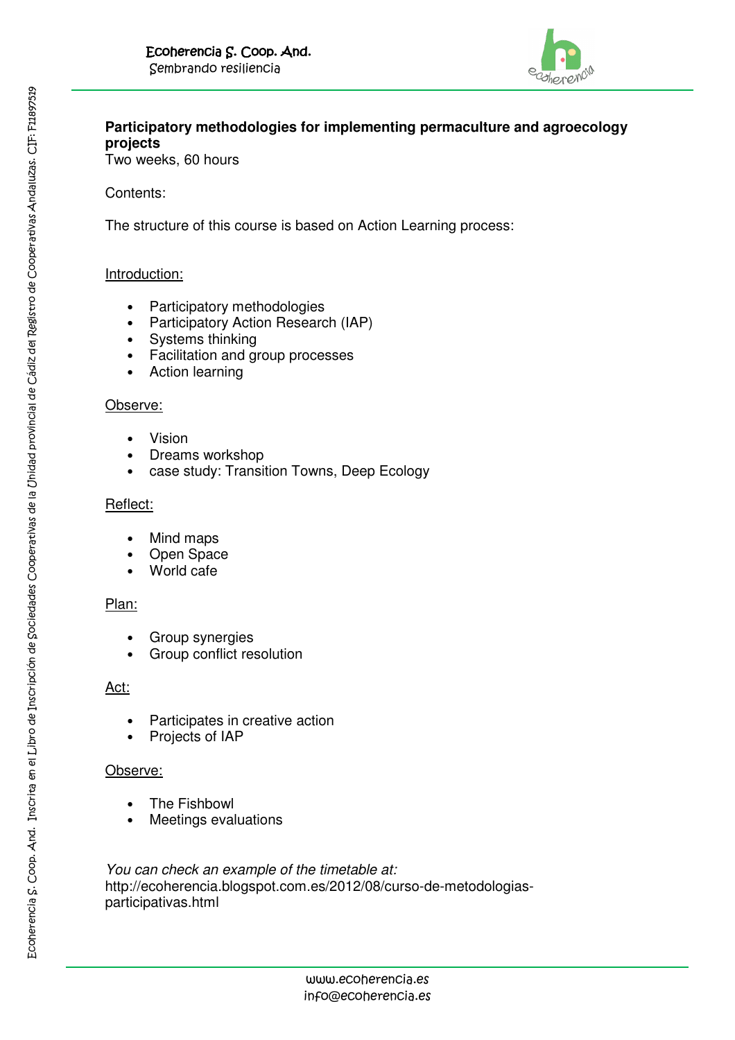

# **Participatory methodologies for implementing permaculture and agroecology projects**

Two weeks, 60 hours

### Contents:

The structure of this course is based on Action Learning process:

#### Introduction:

- Participatory methodologies
- Participatory Action Research (IAP)
- Systems thinking
- Facilitation and group processes
- Action learning

#### Observe:

- Vision
- Dreams workshop
- case study: Transition Towns, Deep Ecology

#### Reflect:

- Mind maps
- Open Space
- World cafe

#### Plan:

- Group synergies
- Group conflict resolution

# Act:

- Participates in creative action
- Projects of IAP

#### Observe:

- The Fishbowl
- Meetings evaluations

You can check an example of the timetable at: http://ecoherencia.blogspot.com.es/2012/08/curso-de-metodologiasparticipativas.html